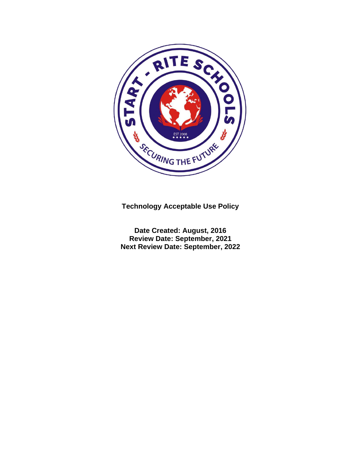

**Technology Acceptable Use Policy**

**Date Created: August, 2016 Review Date: September, 2021 Next Review Date: September, 2022**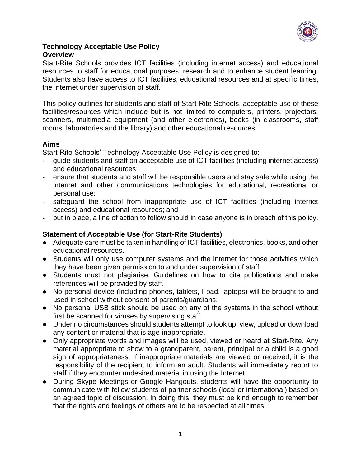

#### **Technology Acceptable Use Policy Overview**

Start-Rite Schools provides ICT facilities (including internet access) and educational resources to staff for educational purposes, research and to enhance student learning. Students also have access to ICT facilities, educational resources and at specific times, the internet under supervision of staff.

This policy outlines for students and staff of Start-Rite Schools, acceptable use of these facilities/resources which include but is not limited to computers, printers, projectors, scanners, multimedia equipment (and other electronics), books (in classrooms, staff rooms, laboratories and the library) and other educational resources.

## **Aims**

Start-Rite Schools' Technology Acceptable Use Policy is designed to:

- guide students and staff on acceptable use of ICT facilities (including internet access) and educational resources;
- ensure that students and staff will be responsible users and stay safe while using the internet and other communications technologies for educational, recreational or personal use;
- safeguard the school from inappropriate use of ICT facilities (including internet access) and educational resources; and
- put in place, a line of action to follow should in case anyone is in breach of this policy.

#### **Statement of Acceptable Use (for Start-Rite Students)**

- Adequate care must be taken in handling of ICT facilities, electronics, books, and other educational resources.
- Students will only use computer systems and the internet for those activities which they have been given permission to and under supervision of staff.
- Students must not plagiarise. Guidelines on how to cite publications and make references will be provided by staff.
- No personal device (including phones, tablets, I-pad, laptops) will be brought to and used in school without consent of parents/guardians.
- No personal USB stick should be used on any of the systems in the school without first be scanned for viruses by supervising staff.
- Under no circumstances should students attempt to look up, view, upload or download any content or material that is age-inappropriate.
- Only appropriate words and images will be used, viewed or heard at Start-Rite. Any material appropriate to show to a grandparent, parent, principal or a child is a good sign of appropriateness. If inappropriate materials are viewed or received, it is the responsibility of the recipient to inform an adult. Students will immediately report to staff if they encounter undesired material in using the Internet.
- During Skype Meetings or Google Hangouts, students will have the opportunity to communicate with fellow students of partner schools (local or international) based on an agreed topic of discussion. In doing this, they must be kind enough to remember that the rights and feelings of others are to be respected at all times.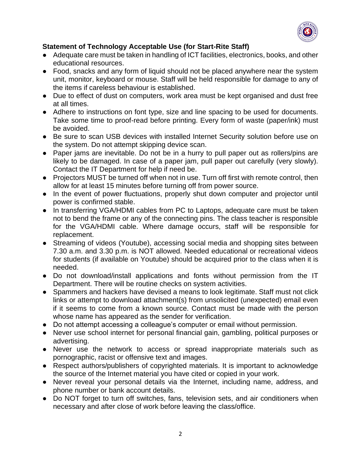

# **Statement of Technology Acceptable Use (for Start-Rite Staff)**

- Adequate care must be taken in handling of ICT facilities, electronics, books, and other educational resources.
- Food, snacks and any form of liquid should not be placed anywhere near the system unit, monitor, keyboard or mouse. Staff will be held responsible for damage to any of the items if careless behaviour is established.
- Due to effect of dust on computers, work area must be kept organised and dust free at all times.
- Adhere to instructions on font type, size and line spacing to be used for documents. Take some time to proof-read before printing. Every form of waste (paper/ink) must be avoided.
- Be sure to scan USB devices with installed Internet Security solution before use on the system. Do not attempt skipping device scan.
- Paper jams are inevitable. Do not be in a hurry to pull paper out as rollers/pins are likely to be damaged. In case of a paper jam, pull paper out carefully (very slowly). Contact the IT Department for help if need be.
- Projectors MUST be turned off when not in use. Turn off first with remote control, then allow for at least 15 minutes before turning off from power source.
- In the event of power fluctuations, properly shut down computer and projector until power is confirmed stable.
- In transferring VGA/HDMI cables from PC to Laptops, adequate care must be taken not to bend the frame or any of the connecting pins. The class teacher is responsible for the VGA/HDMI cable. Where damage occurs, staff will be responsible for replacement.
- Streaming of videos (Youtube), accessing social media and shopping sites between 7.30 a.m. and 3.30 p.m. is NOT allowed. Needed educational or recreational videos for students (if available on Youtube) should be acquired prior to the class when it is needed.
- Do not download/install applications and fonts without permission from the IT Department. There will be routine checks on system activities.
- Spammers and hackers have devised a means to look legitimate. Staff must not click links or attempt to download attachment(s) from unsolicited (unexpected) email even if it seems to come from a known source. Contact must be made with the person whose name has appeared as the sender for verification.
- Do not attempt accessing a colleague's computer or email without permission.
- Never use school internet for personal financial gain, gambling, political purposes or advertising.
- Never use the network to access or spread inappropriate materials such as pornographic, racist or offensive text and images.
- Respect authors/publishers of copyrighted materials. It is important to acknowledge the source of the Internet material you have cited or copied in your work.
- Never reveal your personal details via the Internet, including name, address, and phone number or bank account details.
- Do NOT forget to turn off switches, fans, television sets, and air conditioners when necessary and after close of work before leaving the class/office.